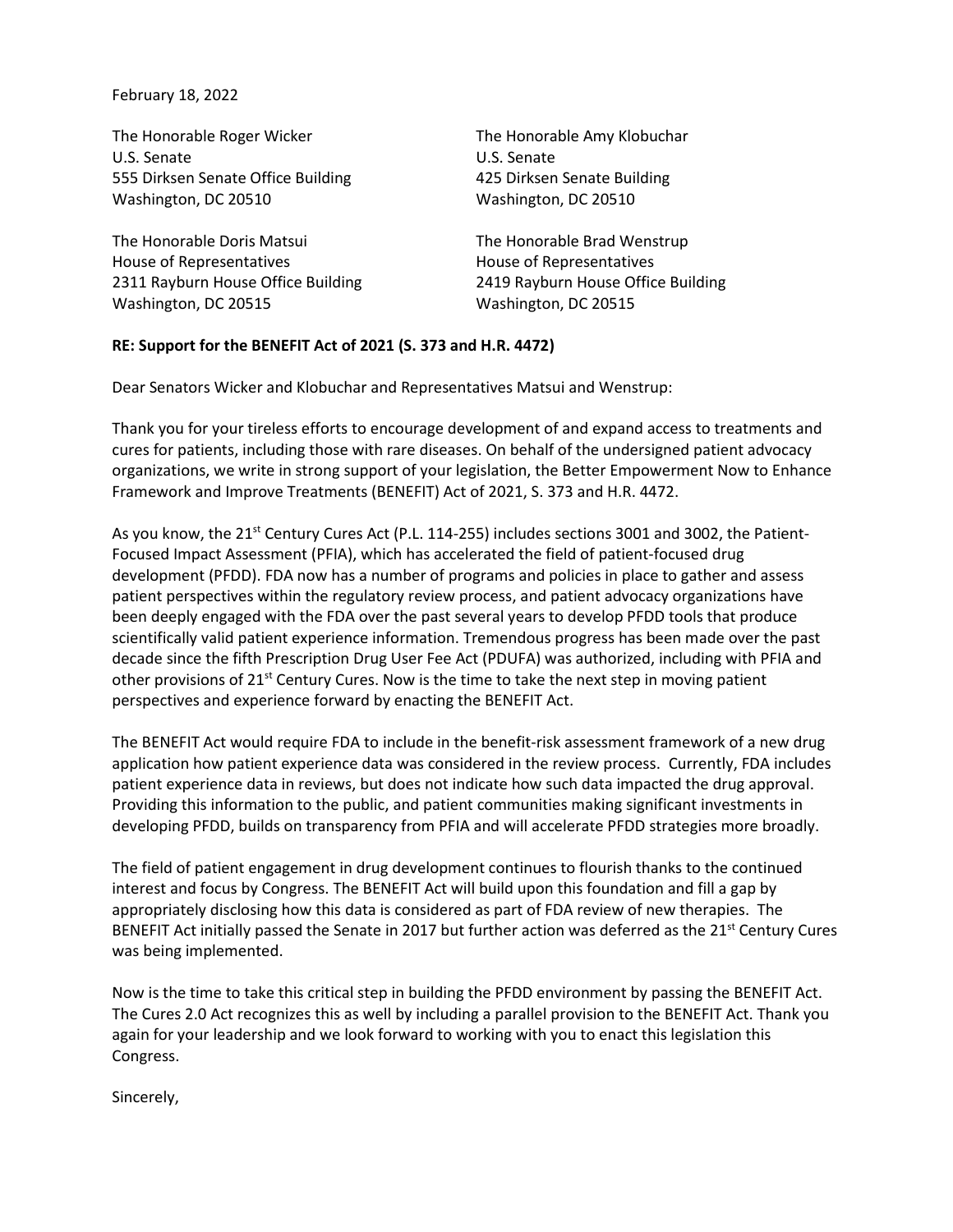February 18, 2022

The Honorable Roger Wicker U.S. Senate 555 Dirksen Senate Office Building Washington, DC 20510 The Honorable Amy Klobuchar U.S. Senate 425 Dirksen Senate Building Washington, DC 20510 The Honorable Doris Matsui House of Representatives 2311 Rayburn House Office Building Washington, DC 20515 The Honorable Brad Wenstrup House of Representatives 2419 Rayburn House Office Building Washington, DC 20515

## **RE: Support for the BENEFIT Act of 2021 (S. 373 and H.R. 4472)**

Dear Senators Wicker and Klobuchar and Representatives Matsui and Wenstrup:

Thank you for your tireless efforts to encourage development of and expand access to treatments and cures for patients, including those with rare diseases. On behalf of the undersigned patient advocacy organizations, we write in strong support of your legislation, the Better Empowerment Now to Enhance Framework and Improve Treatments (BENEFIT) Act of 2021, S. 373 and H.R. 4472.

As you know, the  $21^{st}$  Century Cures Act (P.L. 114-255) includes sections 3001 and 3002, the Patient-Focused Impact Assessment (PFIA), which has accelerated the field of patient-focused drug development (PFDD). FDA now has a number of programs and policies in place to gather and assess patient perspectives within the regulatory review process, and patient advocacy organizations have been deeply engaged with the FDA over the past several years to develop PFDD tools that produce scientifically valid patient experience information. Tremendous progress has been made over the past decade since the fifth Prescription Drug User Fee Act (PDUFA) was authorized, including with PFIA and other provisions of 21<sup>st</sup> Century Cures. Now is the time to take the next step in moving patient perspectives and experience forward by enacting the BENEFIT Act.

The BENEFIT Act would require FDA to include in the benefit-risk assessment framework of a new drug application how patient experience data was considered in the review process. Currently, FDA includes patient experience data in reviews, but does not indicate how such data impacted the drug approval. Providing this information to the public, and patient communities making significant investments in developing PFDD, builds on transparency from PFIA and will accelerate PFDD strategies more broadly.

The field of patient engagement in drug development continues to flourish thanks to the continued interest and focus by Congress. The BENEFIT Act will build upon this foundation and fill a gap by appropriately disclosing how this data is considered as part of FDA review of new therapies. The BENEFIT Act initially passed the Senate in 2017 but further action was deferred as the 21<sup>st</sup> Century Cures was being implemented.

Now is the time to take this critical step in building the PFDD environment by passing the BENEFIT Act. The Cures 2.0 Act recognizes this as well by including a parallel provision to the BENEFIT Act. Thank you again for your leadership and we look forward to working with you to enact this legislation this Congress.

Sincerely,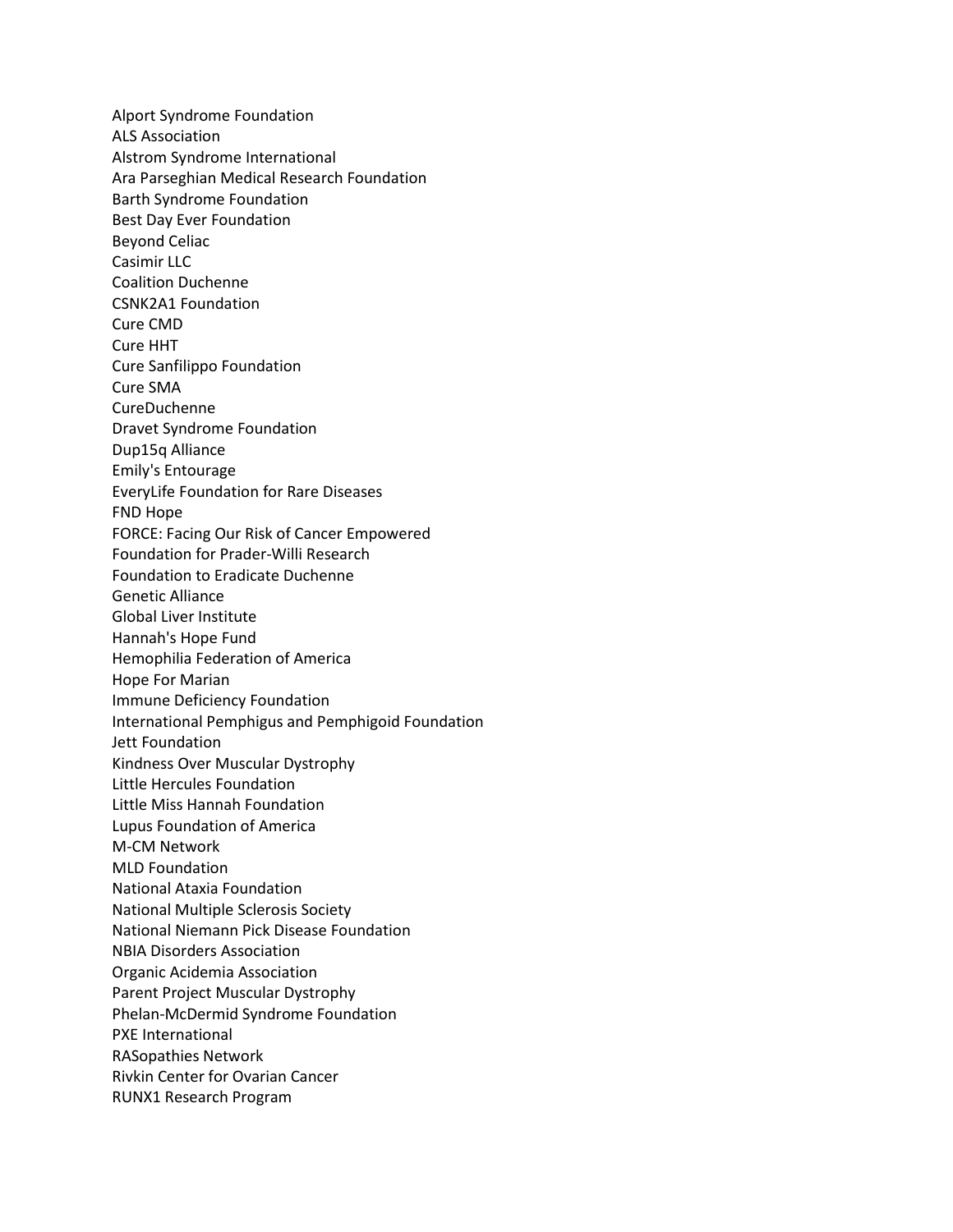Alport Syndrome Foundation ALS Association Alstrom Syndrome International Ara Parseghian Medical Research Foundation Barth Syndrome Foundation Best Day Ever Foundation Beyond Celiac Casimir LLC Coalition Duchenne CSNK2A1 Foundation Cure CMD Cure HHT Cure Sanfilippo Foundation Cure SMA CureDuchenne Dravet Syndrome Foundation Dup15q Alliance Emily's Entourage EveryLife Foundation for Rare Diseases FND Hope FORCE: Facing Our Risk of Cancer Empowered Foundation for Prader-Willi Research Foundation to Eradicate Duchenne Genetic Alliance Global Liver Institute Hannah's Hope Fund Hemophilia Federation of America Hope For Marian Immune Deficiency Foundation International Pemphigus and Pemphigoid Foundation Jett Foundation Kindness Over Muscular Dystrophy Little Hercules Foundation Little Miss Hannah Foundation Lupus Foundation of America M-CM Network MLD Foundation National Ataxia Foundation National Multiple Sclerosis Society National Niemann Pick Disease Foundation NBIA Disorders Association Organic Acidemia Association Parent Project Muscular Dystrophy Phelan-McDermid Syndrome Foundation PXE International RASopathies Network Rivkin Center for Ovarian Cancer RUNX1 Research Program